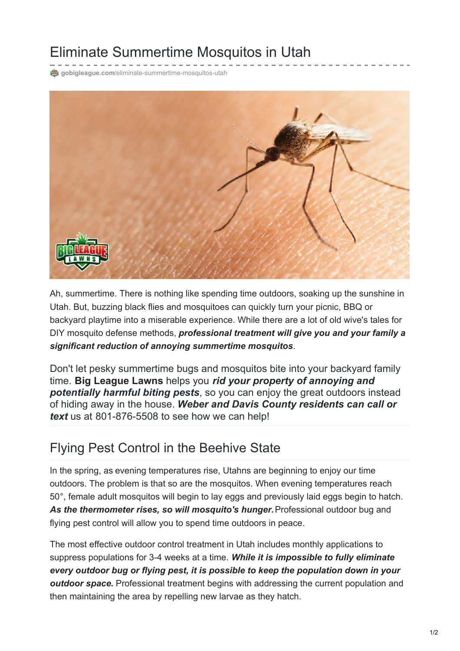## Eliminate Summertime Mosquitos in Utah

**@** gobigleague.com[/eliminate-summertime-mosquitos-utah](https://gobigleague.com/eliminate-summertime-mosquitos-utah/)



Ah, summertime. There is nothing like spending time outdoors, soaking up the sunshine in Utah. But, buzzing black flies and mosquitoes can quickly turn your picnic, BBQ or backyard playtime into a miserable experience. While there are a lot of old wive's tales for DIY mosquito defense methods, *professional treatment will give you and your family a significant reduction of annoying summertime mosquitos*.

Don't let pesky summertime bugs and mosquitos bite into your backyard family time. **Big [League](https://gobigleague.com/) Lawns** helps you *rid your property of annoying and potentially harmful biting pests*, so you can enjoy the great outdoors instead of hiding away in the house. *Weber and Davis County residents can call or text* us at 801-876-5508 to see how we can help!

## Flying Pest Control in the Beehive State

In the spring, as evening temperatures rise, Utahns are beginning to enjoy our time outdoors. The problem is that so are the mosquitos. When evening temperatures reach 50°, female adult mosquitos will begin to lay eggs and previously laid eggs begin to hatch. *As the thermometer rises, so will mosquito's hunger.*Professional outdoor bug and flying pest control will allow you to spend time outdoors in peace.

The most effective outdoor control treatment in Utah includes monthly applications to suppress populations for 3-4 weeks at a time. *While it is impossible to fully eliminate every outdoor bug or flying pest, it is possible to keep the population down in your outdoor space.* Professional treatment begins with addressing the current population and then maintaining the area by repelling new larvae as they hatch.